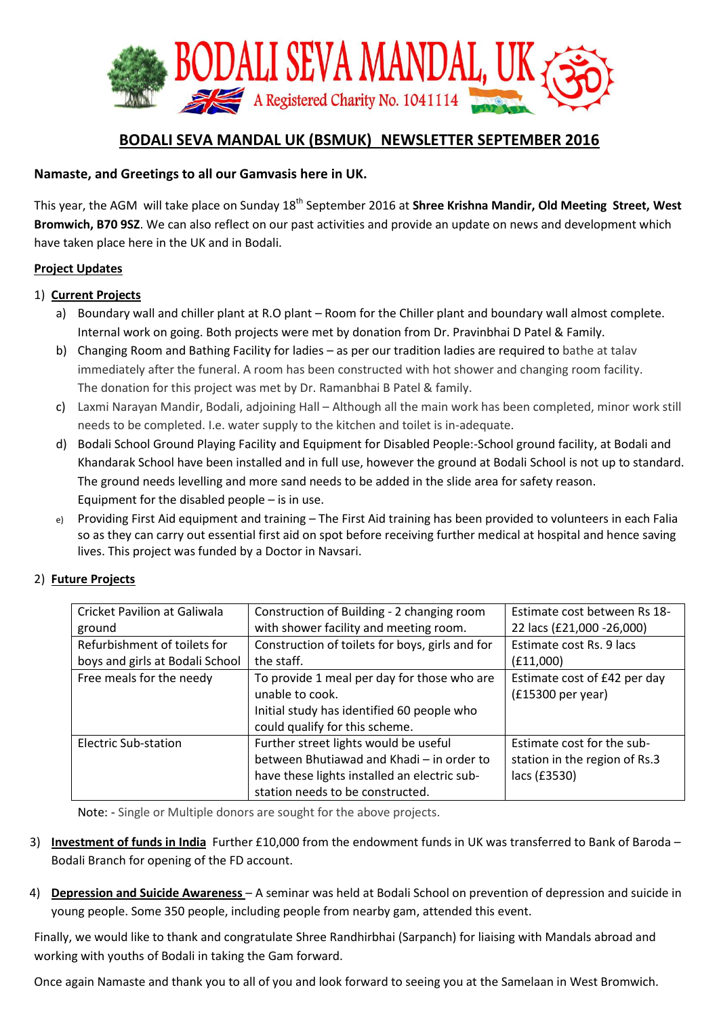

# **BODALI SEVA MANDAL UK (BSMUK) NEWSLETTER SEPTEMBER 2016**

### **Namaste, and Greetings to all our Gamvasis here in UK.**

This year, the AGM will take place on Sunday 18<sup>th</sup> September 2016 at **Shree Krishna Mandir, Old Meeting Street, West Bromwich, B70 9SZ**. We can also reflect on our past activities and provide an update on news and development which have taken place here in the UK and in Bodali.

#### **Project Updates**

#### 1) **Current Projects**

- a) Boundary wall and chiller plant at R.O plant Room for the Chiller plant and boundary wall almost complete. Internal work on going. Both projects were met by donation from Dr. Pravinbhai D Patel & Family.
- b) Changing Room and Bathing Facility for ladies as per our tradition ladies are required to bathe at talav immediately after the funeral. A room has been constructed with hot shower and changing room facility. The donation for this project was met by Dr. Ramanbhai B Patel & family.
- c) Laxmi Narayan Mandir, Bodali, adjoining Hall Although all the main work has been completed, minor work still needs to be completed. I.e. water supply to the kitchen and toilet is in-adequate.
- d) Bodali School Ground Playing Facility and Equipment for Disabled People:-School ground facility, at Bodali and Khandarak School have been installed and in full use, however the ground at Bodali School is not up to standard. The ground needs levelling and more sand needs to be added in the slide area for safety reason. Equipment for the disabled people – is in use.
- e) Providing First Aid equipment and training The First Aid training has been provided to volunteers in each Falia so as they can carry out essential first aid on spot before receiving further medical at hospital and hence saving lives. This project was funded by a Doctor in Navsari.

| Cricket Pavilion at Galiwala    | Construction of Building - 2 changing room      | Estimate cost between Rs 18-  |
|---------------------------------|-------------------------------------------------|-------------------------------|
| ground                          | with shower facility and meeting room.          | 22 lacs (£21,000 -26,000)     |
| Refurbishment of toilets for    | Construction of toilets for boys, girls and for | Estimate cost Rs. 9 lacs      |
| boys and girls at Bodali School | the staff.                                      | (E11,000)                     |
| Free meals for the needy        | To provide 1 meal per day for those who are     | Estimate cost of £42 per day  |
|                                 | unable to cook.                                 | $(f15300 \text{ per year})$   |
|                                 | Initial study has identified 60 people who      |                               |
|                                 | could qualify for this scheme.                  |                               |
| Electric Sub-station            | Further street lights would be useful           | Estimate cost for the sub-    |
|                                 | between Bhutiawad and Khadi - in order to       | station in the region of Rs.3 |
|                                 | have these lights installed an electric sub-    | lacs (£3530)                  |
|                                 | station needs to be constructed.                |                               |

### 2) **Future Projects**

Note: - Single or Multiple donors are sought for the above projects.

- 3) **Investment of funds in India** Further £10,000 from the endowment funds in UK was transferred to Bank of Baroda Bodali Branch for opening of the FD account.
- 4) **Depression and Suicide Awareness**  A seminar was held at Bodali School on prevention of depression and suicide in young people. Some 350 people, including people from nearby gam, attended this event.

Finally, we would like to thank and congratulate Shree Randhirbhai (Sarpanch) for liaising with Mandals abroad and working with youths of Bodali in taking the Gam forward.

Once again Namaste and thank you to all of you and look forward to seeing you at the Samelaan in West Bromwich.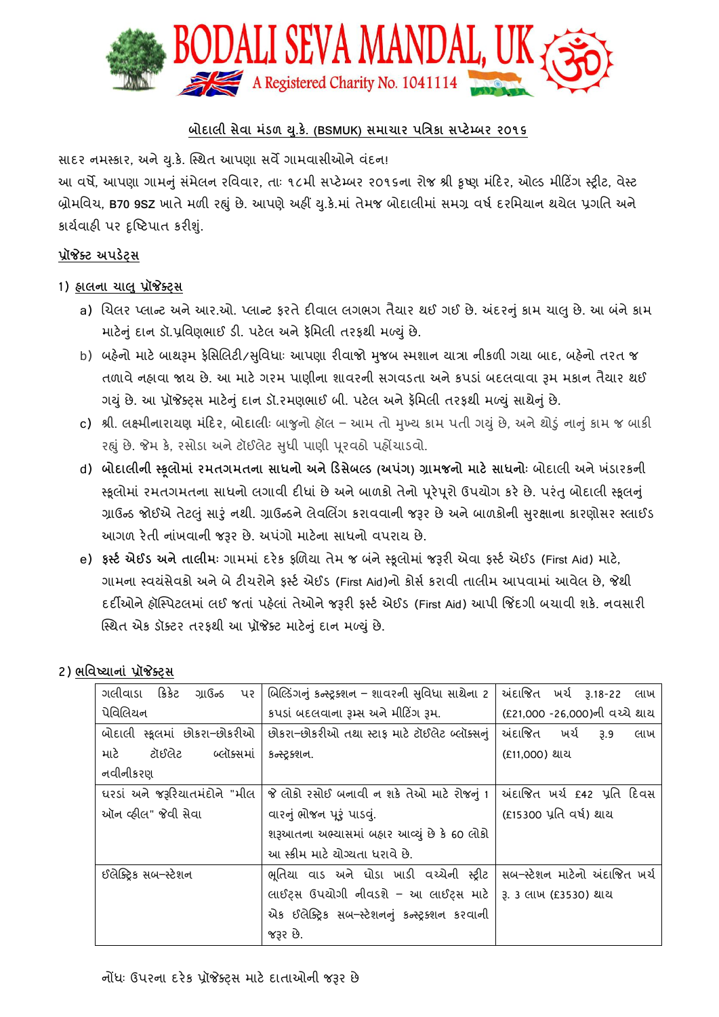

## **બોદાલી સેવા મડં ળ ય.ુકે. (BSMUK) સમાચાર પત્રિકા સપ્ટેમ્બર ૨૦૧૬**

સાદર નમસ્કાર, અને યુ.કે. સ્થિત આપણા સર્વે ગામવાસીઓને વંદન!

આ વર્ષે, આપણા ગામનું સંમેલન રવિવાર, તાઃ ૧૮મી સપ્ટેમ્બર ૨૦૧૬ના રોજ શ્રી કૃષ્ણ મંદિર, ઓલ્ડ મીટિંગ સ્ટ્રીટ, વેસ્ટ બ્રોમવર્વચ, **B70 9SZ** ખાતેમળી રહ્ું છે. આપણેઅહીં ય.ુકે.માં તેમજ બોદાલીમાં સમગ્ર ર્વર્ષષ દરવમયાન િયેલ પ્રગવત અને કાર્યવાહી પર દૃષ્ટિપાત કરીશું.

#### **પ્રૉજેક્ટ અપડેટ્સ**

- 1) **હાલના ચાલુપ્રૉજેક્ટ્સ**
	- a) ચિલર પ્લાન્ટ અને આર.ઓ. પ્લાન્ટ ફરતે દીવાલ લગભગ તૈયાર થઈ ગઈ છે. અંદરનું કામ ચાલુ છે. આ બંને કામ માટેનું દાન ડૉ.પ્રવિણભાઈ ડી. પટેલ અને ફૅમિલી તરફથી મળ્યું છે.
	- b) બહેનો માટે બાથરૂમ ફેસિલિટી/સુવિધાઃ આપણા રીવાજો મુજબ સ્મશાન યાત્રા નીકળી ગયા બાદ, બહેનો તરત જ તળાવે નહ્યવા જાય છે. આ માટે ગરમ પાણીના શાવરની સગવડતા અને કપડાં બદલવાવા રૂમ મકાન તૈયાર થઈ ગયું છે. આ પ્રૉજેક્ટ્સ માટેનું દાન ડૉ.રમણભાઈ બી. પટેલ અને ફૅમિલી તરફથી મળ્યું સાથેનું છે.
	- c) શ્રી. લક્ષ્મીનારાયણ મંદિર, બોદાલીઃ બાજુનો હૉલ આમ તો મુખ્ય કામ પતી ગયું છે, અને શોડું નાનું કામ જ બાકી રહ્યું છે. જેમ કે, રસોડા અને ટૉઈલેટ સુધી પાણી પૂરવઠો પહોંચાડવો.
	- d) **બોદાલીની સ્કલૂ ોમાં રમતગમતના સાધનો અનેદડસેબલ્ડ (અપંગ) ગ્રામજનો માટે સાધનોીઃ** બોદાલી અને ખ ંડારકની સ્કૂલોમાં રમતગમતના સાધનો લગાવી દીધાં છે અને બાળકો તેનો પૂરેપૂરો ઉપયોગ કરે છે. પરંતુ બોદાલી સ્કૂલનું ગ્રાઉન્ડ જોઈએ તેટલું સારું નથી. ગ્રાઉન્ડને લેવલિંગ કરાવવાની જરૂર છે અને બાળકોની સુરક્ષાના કારણોસર સ્લાઈડ આગળ રેતી નાંખર્વાની જરૂર છે. અપ ંગો માટેના સાધનો ર્વપરાય છે.
	- e) ફર્સ્ટ એઈડ અને તાલીમઃ ગામમાં દરેક ફળિયા તેમ જ બંને સ્કૂલોમાં જરૂરી એવા ફર્સ્ટ એઈડ (First Aid) માટે, ગામના સ્વયંસેવકો અને બે ટીચરોને ફર્સ્ટ એઈડ (First Aid)નો કોર્સ કરાવી તાલીમ આપવામાં આવેલ છે, જેથી દદીઓને હૉસ્સ્પટલમાં લઈ જતાં પહેલાં તેઓને જરૂરી ફસ્ટષ એઈડ (First Aid) આપી જજિંદગી બચાર્વી શકે. નર્વસારી સ્સ્િત એક ડૉક્ટટર તરફિી આ પ્રૉજેક્ટટ માટેનુંદાન મળયું છે.

### 2) **ભત્રવષ્યાનાં પ્રૉજેક્ટ્સ**

| ગલીવાડા<br>કિકેટ<br>ગ્રાઉન્ડ<br>પર | બિલ્ડિંગનું કન્સ્ટ્રક્શન – શાવરની સુવિધા સાથેના 2 | અંદાજિત ખર્ચ રૂ.18-22 લાખ     |
|------------------------------------|---------------------------------------------------|-------------------------------|
| પેવિલિયન                           | કપડાં બદલવાના રૂમ્સ અને મીટિંગ રૂમ.               | (£21,000 -26,000)ની વચ્ચે થાય |
| બોદાલી સ્કૂલમાં છોકરા–છોકરીઓ       | છોકરા–છોકરીઓ તથા સ્ટાફ માટે ટૉઈલેટ બ્લૉક્સનું     | અંદાજિત ખર્ચ<br>3.9<br>લાખ    |
| ટૉઈલેટ<br>બ્લૉક્સમાં<br>માટે       | કન્સ્ટ્રક્શન.                                     | (£11,000) થાય                 |
| નવીનીકરણ                           |                                                   |                               |
| ઘરડાં અને જરૂરિયાતમંદોને "મીલ      | જે લોકો રસોઈ બનાવી ન શકે તેઓ માટે રોજનું 1        | અંદાજિત ખર્ચ £42 પ્રતિ દિવસ   |
| ઑન વ્હીલ" જેવી સેવા                | વારનું ભોજન પૂરું પાડવું.                         | (£15300 પ્રતિ વર્ષ) થાય       |
|                                    | શરૂઆતના અભ્યાસમાં બહાર આવ્યું છે કે 60 લોકો       |                               |
|                                    | આ સ્ક્રીમ માટે ચોગ્યતા ધરાવે છે.                  |                               |
| ઈલેક્ટ્રિક સબ–સ્ટેશન               | ભૂતિયા વાડ અને ઘોડા ખાડી વચ્ચેની સ્ટ્રીટ          | સબ–સ્ટેશન માટેનો અંદાજિત ખર્ચ |
|                                    | લાઈટ્સ ઉપયોગી નીવડશે - આ લાઈટ્સ માટે              | 3. 3 લાખ (£3530) થાય          |
|                                    | એક ઈલેક્ટ્રિક સબ–સ્ટેશનનું કન્સ્ટ્રક્શન કરવાની    |                               |
|                                    | જરૂર છે.                                          |                               |